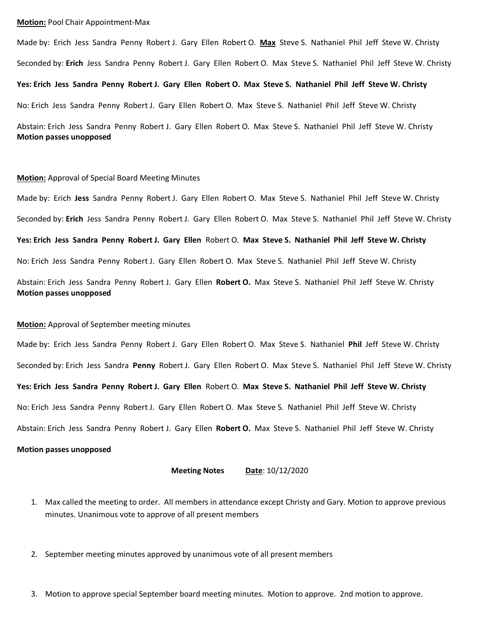#### **Motion:** Pool Chair Appointment-Max

Made by: Erich Jess Sandra Penny Robert J. Gary Ellen Robert O. **Max** Steve S. Nathaniel Phil Jeff Steve W. Christy Seconded by: **Erich** Jess Sandra Penny Robert J. Gary Ellen Robert O. Max Steve S. Nathaniel Phil Jeff Steve W. Christy **Yes: Erich Jess Sandra Penny Robert J. Gary Ellen Robert O. Max Steve S. Nathaniel Phil Jeff Steve W. Christy** No: Erich Jess Sandra Penny Robert J. Gary Ellen Robert O. Max Steve S. Nathaniel Phil Jeff Steve W. Christy Abstain: Erich Jess Sandra Penny Robert J. Gary Ellen Robert O. Max Steve S. Nathaniel Phil Jeff Steve W. Christy **Motion passes unopposed**

### **Motion:** Approval of Special Board Meeting Minutes

Made by: Erich **Jess** Sandra Penny Robert J. Gary Ellen Robert O. Max Steve S. Nathaniel Phil Jeff Steve W. Christy Seconded by: **Erich** Jess Sandra Penny Robert J. Gary Ellen Robert O. Max Steve S. Nathaniel Phil Jeff Steve W. Christy **Yes: Erich Jess Sandra Penny Robert J. Gary Ellen** Robert O. **Max Steve S. Nathaniel Phil Jeff Steve W. Christy** No: Erich Jess Sandra Penny Robert J. Gary Ellen Robert O. Max Steve S. Nathaniel Phil Jeff Steve W. Christy Abstain: Erich Jess Sandra Penny Robert J. Gary Ellen **Robert O.** Max Steve S. Nathaniel Phil Jeff Steve W. Christy **Motion passes unopposed**

### **Motion:** Approval of September meeting minutes

Made by: Erich Jess Sandra Penny Robert J. Gary Ellen Robert O. Max Steve S. Nathaniel **Phil** Jeff Steve W. Christy Seconded by: Erich Jess Sandra **Penny** Robert J. Gary Ellen Robert O. Max Steve S. Nathaniel Phil Jeff Steve W. Christy **Yes: Erich Jess Sandra Penny Robert J. Gary Ellen** Robert O. **Max Steve S. Nathaniel Phil Jeff Steve W. Christy** No: Erich Jess Sandra Penny Robert J. Gary Ellen Robert O. Max Steve S. Nathaniel Phil Jeff Steve W. Christy Abstain: Erich Jess Sandra Penny Robert J. Gary Ellen **Robert O.** Max Steve S. Nathaniel Phil Jeff Steve W. Christy

## **Motion passes unopposed**

**Meeting Notes Date**: 10/12/2020

- 1. Max called the meeting to order. All members in attendance except Christy and Gary. Motion to approve previous minutes. Unanimous vote to approve of all present members
- 2. September meeting minutes approved by unanimous vote of all present members
- 3. Motion to approve special September board meeting minutes. Motion to approve. 2nd motion to approve.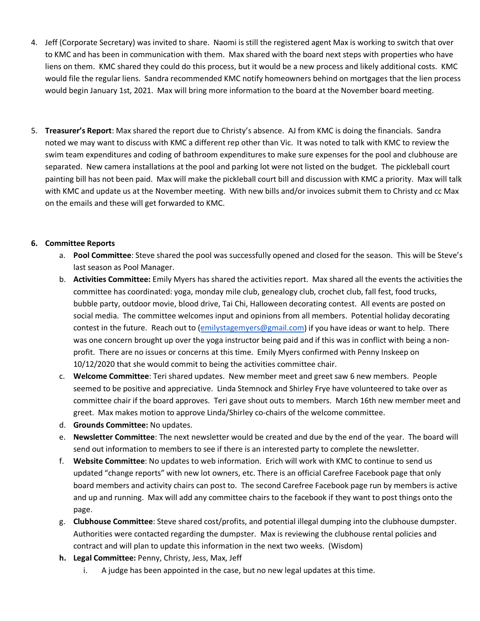- 4. Jeff (Corporate Secretary) was invited to share. Naomi is still the registered agent Max is working to switch that over to KMC and has been in communication with them. Max shared with the board next steps with properties who have liens on them. KMC shared they could do this process, but it would be a new process and likely additional costs. KMC would file the regular liens. Sandra recommended KMC notify homeowners behind on mortgages that the lien process would begin January 1st, 2021. Max will bring more information to the board at the November board meeting.
- 5. **Treasurer's Report**: Max shared the report due to Christy's absence. AJ from KMC is doing the financials. Sandra noted we may want to discuss with KMC a different rep other than Vic. It was noted to talk with KMC to review the swim team expenditures and coding of bathroom expenditures to make sure expenses for the pool and clubhouse are separated. New camera installations at the pool and parking lot were not listed on the budget. The pickleball court painting bill has not been paid. Max will make the pickleball court bill and discussion with KMC a priority. Max will talk with KMC and update us at the November meeting. With new bills and/or invoices submit them to Christy and cc Max on the emails and these will get forwarded to KMC.

# **6. Committee Reports**

- a. **Pool Committee**: Steve shared the pool was successfully opened and closed for the season. This will be Steve's last season as Pool Manager.
- b. **Activities Committee:** Emily Myers has shared the activities report. Max shared all the events the activities the committee has coordinated: yoga, monday mile club, genealogy club, crochet club, fall fest, food trucks, bubble party, outdoor movie, blood drive, Tai Chi, Halloween decorating contest. All events are posted on social media. The committee welcomes input and opinions from all members. Potential holiday decorating contest in the future. Reach out to [\(emilystagemyers@gmail.com\)](mailto:emilystagemyers@gmail.com) if you have ideas or want to help. There was one concern brought up over the yoga instructor being paid and if this was in conflict with being a nonprofit. There are no issues or concerns at this time. Emily Myers confirmed with Penny Inskeep on 10/12/2020 that she would commit to being the activities committee chair.
- c. **Welcome Committee**: Teri shared updates. New member meet and greet saw 6 new members. People seemed to be positive and appreciative. Linda Stemnock and Shirley Frye have volunteered to take over as committee chair if the board approves. Teri gave shout outs to members. March 16th new member meet and greet. Max makes motion to approve Linda/Shirley co-chairs of the welcome committee.
- d. **Grounds Committee:** No updates.
- e. **Newsletter Committee**: The next newsletter would be created and due by the end of the year. The board will send out information to members to see if there is an interested party to complete the newsletter.
- f. **Website Committee**: No updates to web information. Erich will work with KMC to continue to send us updated "change reports" with new lot owners, etc. There is an official Carefree Facebook page that only board members and activity chairs can post to. The second Carefree Facebook page run by members is active and up and running. Max will add any committee chairs to the facebook if they want to post things onto the page.
- g. **Clubhouse Committee**: Steve shared cost/profits, and potential illegal dumping into the clubhouse dumpster. Authorities were contacted regarding the dumpster. Max is reviewing the clubhouse rental policies and contract and will plan to update this information in the next two weeks. (Wisdom)
- **h. Legal Committee:** Penny, Christy, Jess, Max, Jeff
	- i. A judge has been appointed in the case, but no new legal updates at this time.